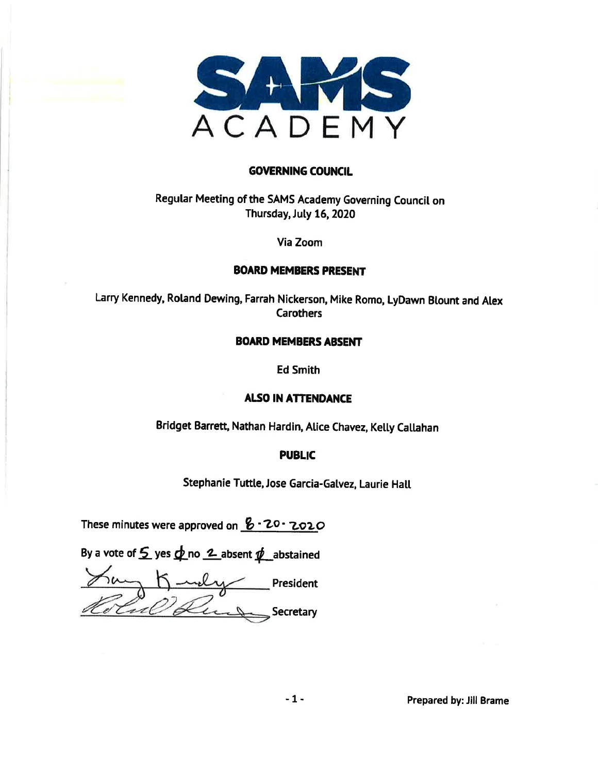

#### **GOVERNING COUNCIL**

### Regular Meeting of the SAMS Academy Governing Council on Thursday, July 16, 2020

#### Via Zoom

#### **BOARD MEMBERS PRESENT**

Larry Kennedy, Roland Dewing, Farrah Nickerson, Mike Romo, LyDawn Blount and Alex **Carothers** 

#### **BOARD MEMBERS ABSENT**

**Ed Smith** 

#### **ALSO IN ATTENDANCE**

Bridget Barrett, Nathan Hardin, Alice Chavez, Kelly Callahan

#### **PUBLIC**

Stephanie Tuttle, Jose Garcia-Galvez, Laurie Hall

These minutes were approved on  $8.20.2020$ 

By a vote of  $\mathcal{L}$  yes  $\phi$  no  $\mathcal{L}$  absent  $\psi$  abstained

 $\equiv$  President 20 Que Secretary

Prepared by: Jill Brame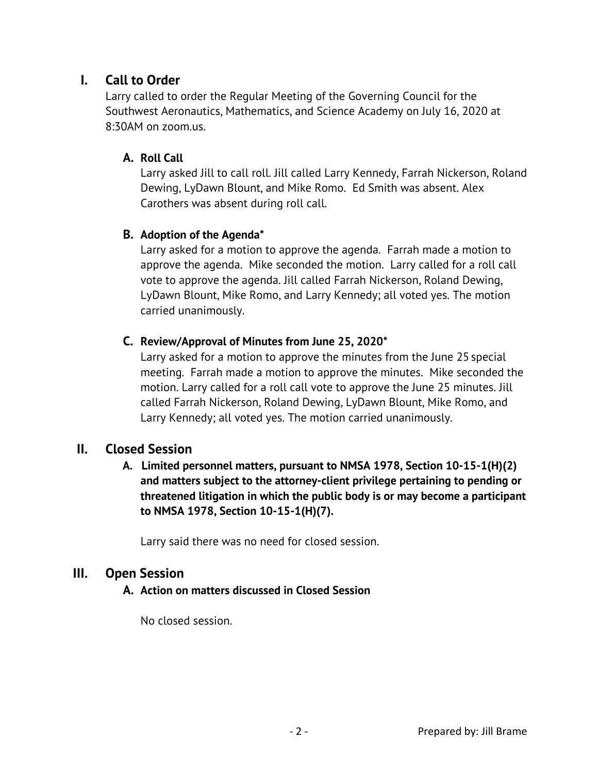## **I. Call to Order**

Larry called to order the Regular Meeting of the Governing Council for the Southwest Aeronautics, Mathematics, and Science Academy on July 16, 2020 at 8:30AM on zoom.us.

## **A. Roll Call**

Larry asked Jill to call roll. Jill called Larry Kennedy, Farrah Nickerson, Roland Dewing, LyDawn Blount, and Mike Romo. Ed Smith was absent. Alex Carothers was absent during roll call.

## **B. Adoption of the Agenda\***

Larry asked for a motion to approve the agenda. Farrah made a motion to approve the agenda. Mike seconded the motion. Larry called for a roll call vote to approve the agenda. Jill called Farrah Nickerson, Roland Dewing, LyDawn Blount, Mike Romo, and Larry Kennedy; all voted yes. The motion carried unanimously.

## **C. Review/Approval of Minutes from June 25, 2020\***

Larry asked for a motion to approve the minutes from the June 25 special meeting. Farrah made a motion to approve the minutes. Mike seconded the motion. Larry called for a roll call vote to approve the June 25 minutes. Jill called Farrah Nickerson, Roland Dewing, LyDawn Blount, Mike Romo, and Larry Kennedy; all voted yes. The motion carried unanimously.

## **II. Closed Session**

 **A. Limited personnel matters, pursuant to NMSA 1978, Section 10-15-1(H)(2) and matters subject to the attorney-client privilege pertaining to pending or threatened litigation in which the public body is or may become a participant to NMSA 1978, Section 10-15-1(H)(7).** 

Larry said there was no need for closed session.

## **III. Open Session**

#### **A. Action on matters discussed in Closed Session**

No closed session.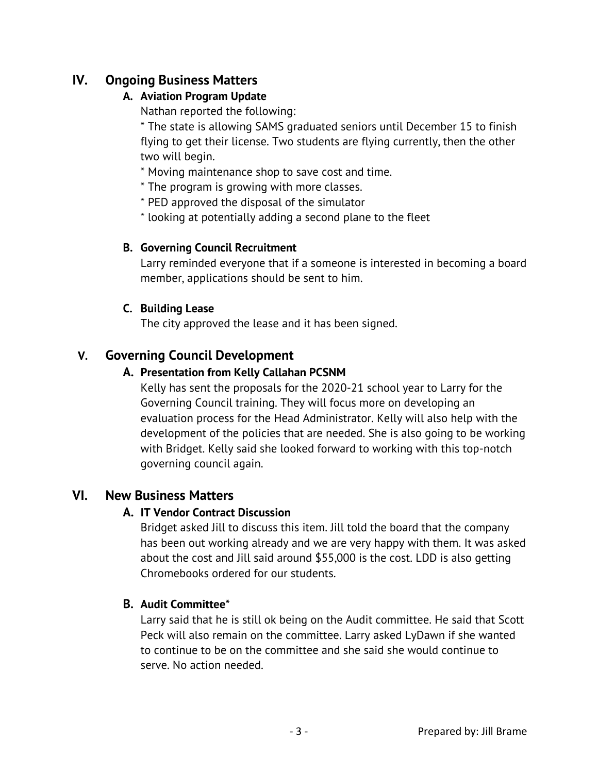## **IV. Ongoing Business Matters**

### **A. Aviation Program Update**

Nathan reported the following:

\* The state is allowing SAMS graduated seniors until December 15 to finish flying to get their license. Two students are flying currently, then the other two will begin.

- \* Moving maintenance shop to save cost and time.
- \* The program is growing with more classes.
- \* PED approved the disposal of the simulator
- \* looking at potentially adding a second plane to the fleet

## **B. Governing Council Recruitment**

Larry reminded everyone that if a someone is interested in becoming a board member, applications should be sent to him.

## **C. Building Lease**

The city approved the lease and it has been signed.

## **V. Governing Council Development**

## **A. Presentation from Kelly Callahan PCSNM**

Kelly has sent the proposals for the 2020-21 school year to Larry for the Governing Council training. They will focus more on developing an evaluation process for the Head Administrator. Kelly will also help with the development of the policies that are needed. She is also going to be working with Bridget. Kelly said she looked forward to working with this top-notch governing council again.

## **VI. New Business Matters**

## **A. IT Vendor Contract Discussion**

Bridget asked Jill to discuss this item. Jill told the board that the company has been out working already and we are very happy with them. It was asked about the cost and Jill said around \$55,000 is the cost. LDD is also getting Chromebooks ordered for our students.

## **B. Audit Committee\***

Larry said that he is still ok being on the Audit committee. He said that Scott Peck will also remain on the committee. Larry asked LyDawn if she wanted to continue to be on the committee and she said she would continue to serve. No action needed.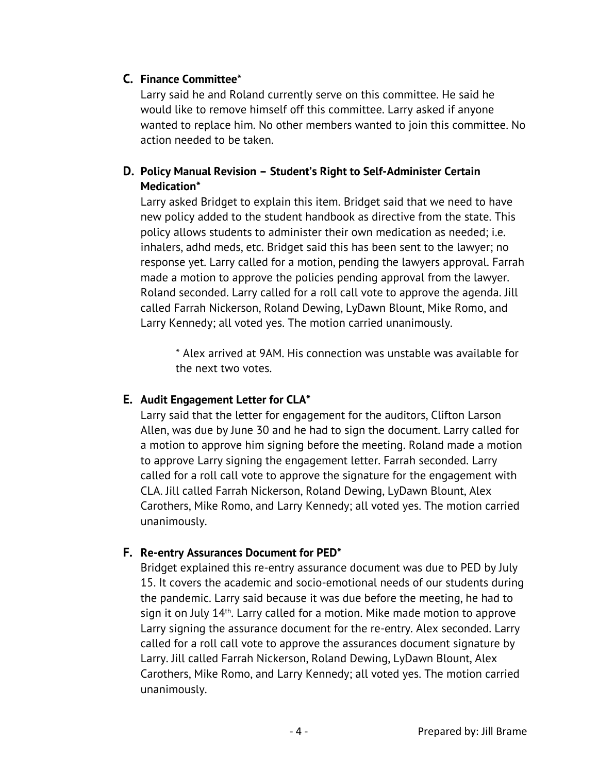## **C. Finance Committee\***

Larry said he and Roland currently serve on this committee. He said he would like to remove himself off this committee. Larry asked if anyone wanted to replace him. No other members wanted to join this committee. No action needed to be taken.

## **D. Policy Manual Revision – Student's Right to Self-Administer Certain Medication\***

Larry asked Bridget to explain this item. Bridget said that we need to have new policy added to the student handbook as directive from the state. This policy allows students to administer their own medication as needed; i.e. inhalers, adhd meds, etc. Bridget said this has been sent to the lawyer; no response yet. Larry called for a motion, pending the lawyers approval. Farrah made a motion to approve the policies pending approval from the lawyer. Roland seconded. Larry called for a roll call vote to approve the agenda. Jill called Farrah Nickerson, Roland Dewing, LyDawn Blount, Mike Romo, and Larry Kennedy; all voted yes. The motion carried unanimously.

\* Alex arrived at 9AM. His connection was unstable was available for the next two votes.

## **E. Audit Engagement Letter for CLA\***

Larry said that the letter for engagement for the auditors, Clifton Larson Allen, was due by June 30 and he had to sign the document. Larry called for a motion to approve him signing before the meeting. Roland made a motion to approve Larry signing the engagement letter. Farrah seconded. Larry called for a roll call vote to approve the signature for the engagement with CLA. Jill called Farrah Nickerson, Roland Dewing, LyDawn Blount, Alex Carothers, Mike Romo, and Larry Kennedy; all voted yes. The motion carried unanimously.

## **F. Re-entry Assurances Document for PED\***

Bridget explained this re-entry assurance document was due to PED by July 15. It covers the academic and socio-emotional needs of our students during the pandemic. Larry said because it was due before the meeting, he had to sign it on July 14<sup>th</sup>. Larry called for a motion. Mike made motion to approve Larry signing the assurance document for the re-entry. Alex seconded. Larry called for a roll call vote to approve the assurances document signature by Larry. Jill called Farrah Nickerson, Roland Dewing, LyDawn Blount, Alex Carothers, Mike Romo, and Larry Kennedy; all voted yes. The motion carried unanimously.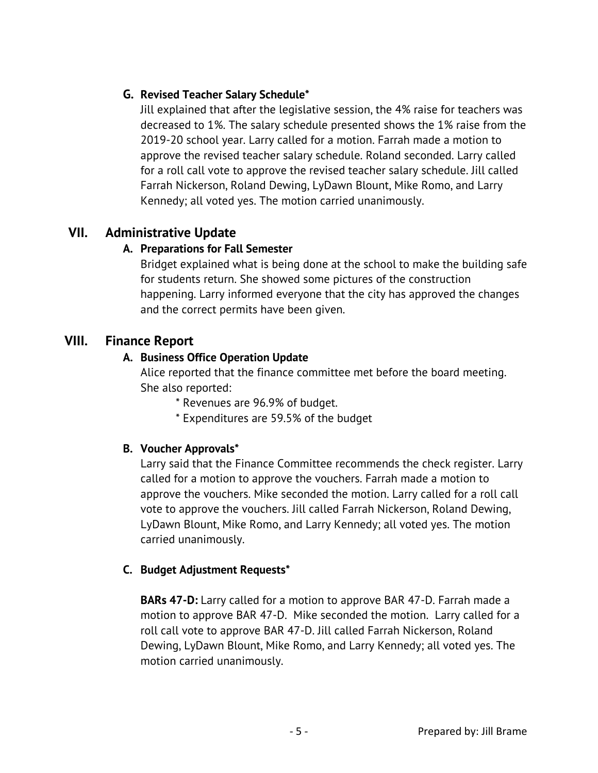## **G. Revised Teacher Salary Schedule\***

Jill explained that after the legislative session, the 4% raise for teachers was decreased to 1%. The salary schedule presented shows the 1% raise from the 2019-20 school year. Larry called for a motion. Farrah made a motion to approve the revised teacher salary schedule. Roland seconded. Larry called for a roll call vote to approve the revised teacher salary schedule. Jill called Farrah Nickerson, Roland Dewing, LyDawn Blount, Mike Romo, and Larry Kennedy; all voted yes. The motion carried unanimously.

## **VII. Administrative Update**

## **A. Preparations for Fall Semester**

Bridget explained what is being done at the school to make the building safe for students return. She showed some pictures of the construction happening. Larry informed everyone that the city has approved the changes and the correct permits have been given.

## **VIII. Finance Report**

## **A. Business Office Operation Update**

Alice reported that the finance committee met before the board meeting. She also reported:

\* Revenues are 96.9% of budget.

\* Expenditures are 59.5% of the budget

## **B. Voucher Approvals\***

Larry said that the Finance Committee recommends the check register. Larry called for a motion to approve the vouchers. Farrah made a motion to approve the vouchers. Mike seconded the motion. Larry called for a roll call vote to approve the vouchers. Jill called Farrah Nickerson, Roland Dewing, LyDawn Blount, Mike Romo, and Larry Kennedy; all voted yes. The motion carried unanimously.

## **C. Budget Adjustment Requests\***

**BARs 47-D:** Larry called for a motion to approve BAR 47-D. Farrah made a motion to approve BAR 47-D. Mike seconded the motion. Larry called for a roll call vote to approve BAR 47-D. Jill called Farrah Nickerson, Roland Dewing, LyDawn Blount, Mike Romo, and Larry Kennedy; all voted yes. The motion carried unanimously.